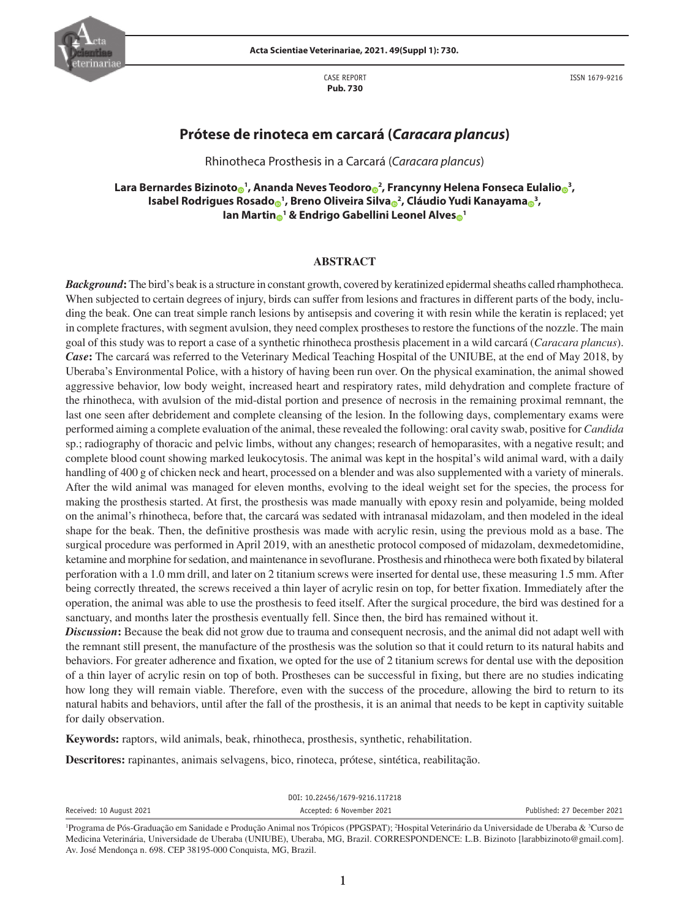

CASE REPORT **Pub. 730**

ISSN 1679-9216

# **Prótese de rinoteca em carcará (***Caracara plancus***)**

Rhinotheca Prosthesis in a Carcará (*Caracara plancus*)

 $\Delta$  Bernardes Bizin[o](https://orcid.org/0000-0002-6982-5452)to $_{\textbf{0}}$ 1, Ananda Neves Teodoro $_{\textbf{0}}$ 2, Francynny Helena Fonseca Eulalio $_{\textbf{0}}$ 3, **Isabel Rodrigues Rosad[o](https://orcid.org/0000-0001-7819-4253) <sup>1</sup> , Breno Oliveira Silv[a](https://orcid.org/0000-0003-0975-2420) <sup>2</sup> , Cláudio Yudi Kanayam[a](https://orcid.org/0000-0001-8325-1283) <sup>3</sup> , Ian Marti[n](https://orcid.org/0000-0001-6934-8257) <sup>1</sup> & Endrigo Gabellini Leonel Alve[s](https://orcid.org/0000-0001-8524-3949) <sup>1</sup>**

## **ABSTRACT**

*Background***:** The bird's beak is a structure in constant growth, covered by keratinized epidermal sheaths called rhamphotheca. When subjected to certain degrees of injury, birds can suffer from lesions and fractures in different parts of the body, including the beak. One can treat simple ranch lesions by antisepsis and covering it with resin while the keratin is replaced; yet in complete fractures, with segment avulsion, they need complex prostheses to restore the functions of the nozzle. The main goal of this study was to report a case of a synthetic rhinotheca prosthesis placement in a wild carcará (*Caracara plancus*). *Case***:** The carcará was referred to the Veterinary Medical Teaching Hospital of the UNIUBE, at the end of May 2018, by Uberaba's Environmental Police, with a history of having been run over. On the physical examination, the animal showed aggressive behavior, low body weight, increased heart and respiratory rates, mild dehydration and complete fracture of the rhinotheca, with avulsion of the mid-distal portion and presence of necrosis in the remaining proximal remnant, the last one seen after debridement and complete cleansing of the lesion. In the following days, complementary exams were performed aiming a complete evaluation of the animal, these revealed the following: oral cavity swab, positive for *Candida* sp.; radiography of thoracic and pelvic limbs, without any changes; research of hemoparasites, with a negative result; and complete blood count showing marked leukocytosis. The animal was kept in the hospital's wild animal ward, with a daily handling of 400 g of chicken neck and heart, processed on a blender and was also supplemented with a variety of minerals. After the wild animal was managed for eleven months, evolving to the ideal weight set for the species, the process for making the prosthesis started. At first, the prosthesis was made manually with epoxy resin and polyamide, being molded on the animal's rhinotheca, before that, the carcará was sedated with intranasal midazolam, and then modeled in the ideal shape for the beak. Then, the definitive prosthesis was made with acrylic resin, using the previous mold as a base. The surgical procedure was performed in April 2019, with an anesthetic protocol composed of midazolam, dexmedetomidine, ketamine and morphine for sedation, and maintenance in sevoflurane. Prosthesis and rhinotheca were both fixated by bilateral perforation with a 1.0 mm drill, and later on 2 titanium screws were inserted for dental use, these measuring 1.5 mm. After being correctly threated, the screws received a thin layer of acrylic resin on top, for better fixation. Immediately after the operation, the animal was able to use the prosthesis to feed itself. After the surgical procedure, the bird was destined for a sanctuary, and months later the prosthesis eventually fell. Since then, the bird has remained without it.

*Discussion***:** Because the beak did not grow due to trauma and consequent necrosis, and the animal did not adapt well with the remnant still present, the manufacture of the prosthesis was the solution so that it could return to its natural habits and behaviors. For greater adherence and fixation, we opted for the use of 2 titanium screws for dental use with the deposition of a thin layer of acrylic resin on top of both. Prostheses can be successful in fixing, but there are no studies indicating how long they will remain viable. Therefore, even with the success of the procedure, allowing the bird to return to its natural habits and behaviors, until after the fall of the prosthesis, it is an animal that needs to be kept in captivity suitable for daily observation.

**Keywords:** raptors, wild animals, beak, rhinotheca, prosthesis, synthetic, rehabilitation.

**Descritores:** rapinantes, animais selvagens, bico, rinoteca, prótese, sintética, reabilitação.

|                          | DOI: 10.22456/1679-9216.117218 |                             |
|--------------------------|--------------------------------|-----------------------------|
| Received: 10 August 2021 | Accepted: 6 November 2021      | Published: 27 December 2021 |
|                          |                                |                             |

<sup>&</sup>lt;sup>1</sup>Programa de Pós-Graduação em Sanidade e Produção Animal nos Trópicos (PPGSPAT); <sup>2</sup>Hospital Veterinário da Universidade de Uberaba & <sup>3</sup>Curso de Medicina Veterinária, Universidade de Uberaba (UNIUBE), Uberaba, MG, Brazil. CORRESPONDENCE: L.B. Bizinoto [larabbizinoto@gmail.com]. Av. José Mendonça n. 698. CEP 38195-000 Conquista, MG, Brazil.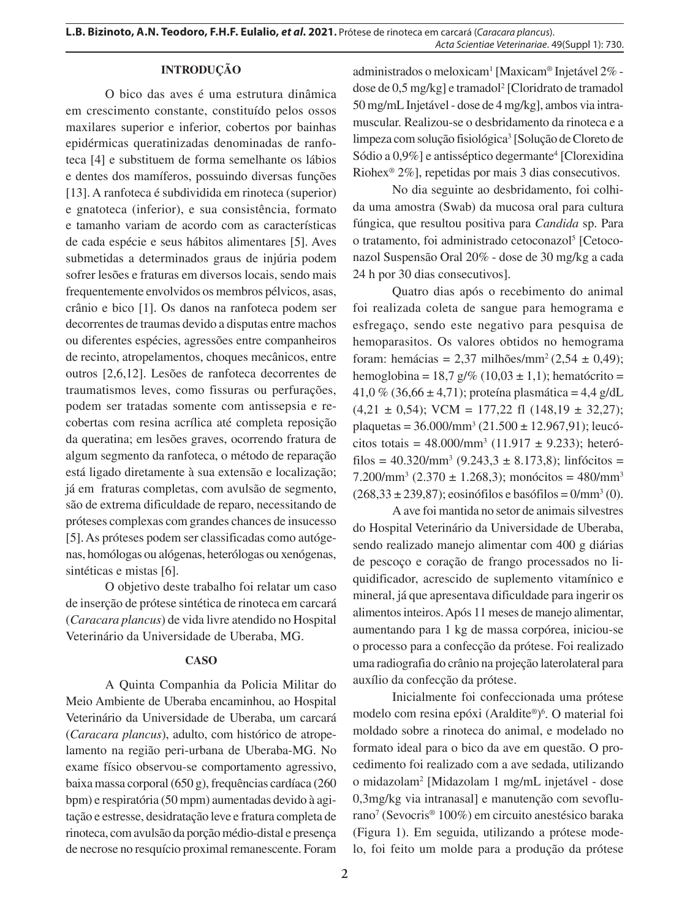# **INTRODUÇÃO**

O bico das aves é uma estrutura dinâmica em crescimento constante, constituído pelos ossos maxilares superior e inferior, cobertos por bainhas epidérmicas queratinizadas denominadas de ranfoteca [4] e substituem de forma semelhante os lábios e dentes dos mamíferos, possuindo diversas funções [13]. A ranfoteca é subdividida em rinoteca (superior) e gnatoteca (inferior), e sua consistência, formato e tamanho variam de acordo com as características de cada espécie e seus hábitos alimentares [5]. Aves submetidas a determinados graus de injúria podem sofrer lesões e fraturas em diversos locais, sendo mais frequentemente envolvidos os membros pélvicos, asas, crânio e bico [1]. Os danos na ranfoteca podem ser decorrentes de traumas devido a disputas entre machos ou diferentes espécies, agressões entre companheiros de recinto, atropelamentos, choques mecânicos, entre outros [2,6,12]. Lesões de ranfoteca decorrentes de traumatismos leves, como fissuras ou perfurações, podem ser tratadas somente com antissepsia e recobertas com resina acrílica até completa reposição da queratina; em lesões graves, ocorrendo fratura de algum segmento da ranfoteca, o método de reparação está ligado diretamente à sua extensão e localização; já em fraturas completas, com avulsão de segmento, são de extrema dificuldade de reparo, necessitando de próteses complexas com grandes chances de insucesso [5]. As próteses podem ser classificadas como autógenas, homólogas ou alógenas, heterólogas ou xenógenas, sintéticas e mistas [6].

O objetivo deste trabalho foi relatar um caso de inserção de prótese sintética de rinoteca em carcará (*Caracara plancus*) de vida livre atendido no Hospital Veterinário da Universidade de Uberaba, MG.

#### **CASO**

A Quinta Companhia da Policia Militar do Meio Ambiente de Uberaba encaminhou, ao Hospital Veterinário da Universidade de Uberaba, um carcará (*Caracara plancus*), adulto, com histórico de atropelamento na região peri-urbana de Uberaba-MG. No exame físico observou-se comportamento agressivo, baixa massa corporal (650 g), frequências cardíaca (260 bpm) e respiratória (50 mpm) aumentadas devido à agitação e estresse, desidratação leve e fratura completa de rinoteca, com avulsão da porção médio-distal e presença de necrose no resquício proximal remanescente. Foram

administrados o meloxicam<sup>1</sup> [Maxicam® Injetável 2% dose de 0,5 mg/kg] e tramadol<sup>2</sup> [Cloridrato de tramadol 50 mg/mL Injetável - dose de 4 mg/kg], ambos via intramuscular. Realizou-se o desbridamento da rinoteca e a limpeza com solução fisiológica<sup>3</sup> [Solução de Cloreto de Sódio a 0,9%] e antisséptico degermante<sup>4</sup> [Clorexidina Riohex® 2%], repetidas por mais 3 dias consecutivos.

No dia seguinte ao desbridamento, foi colhida uma amostra (Swab) da mucosa oral para cultura fúngica, que resultou positiva para *Candida* sp. Para o tratamento, foi administrado cetoconazol<sup>5</sup> [Cetoconazol Suspensão Oral 20% - dose de 30 mg/kg a cada 24 h por 30 dias consecutivos].

Quatro dias após o recebimento do animal foi realizada coleta de sangue para hemograma e esfregaço, sendo este negativo para pesquisa de hemoparasitos. Os valores obtidos no hemograma foram: hemácias = 2,37 milhões/mm<sup>2</sup> (2,54 ± 0,49); hemoglobina = 18,7 g/% (10,03  $\pm$  1,1); hematócrito = 41,0 % (36,66 ± 4,71); proteína plasmática = 4,4 g/dL  $(4,21 \pm 0.54)$ ; VCM = 177,22 fl  $(148,19 \pm 32,27)$ ; plaquetas =  $36.000/\text{mm}^3$  (21.500  $\pm$  12.967,91); leucócitos totais =  $48.000/\text{mm}^3$  (11.917 ± 9.233); heterófilos =  $40.320/\text{mm}^3$  (9.243,3 ± 8.173,8); linfócitos =  $7.200/\text{mm}^3$  (2.370 ± 1.268,3); monócitos = 480/mm<sup>3</sup>  $(268,33 \pm 239,87)$ ; eosinófilos e basófilos =  $0/\text{mm}^3(0)$ .

A ave foi mantida no setor de animais silvestres do Hospital Veterinário da Universidade de Uberaba, sendo realizado manejo alimentar com 400 g diárias de pescoço e coração de frango processados no liquidificador, acrescido de suplemento vitamínico e mineral, já que apresentava dificuldade para ingerir os alimentos inteiros. Após 11 meses de manejo alimentar, aumentando para 1 kg de massa corpórea, iniciou-se o processo para a confecção da prótese. Foi realizado uma radiografia do crânio na projeção laterolateral para auxílio da confecção da prótese.

Inicialmente foi confeccionada uma prótese modelo com resina epóxi (Araldite®) 6 . O material foi moldado sobre a rinoteca do animal, e modelado no formato ideal para o bico da ave em questão. O procedimento foi realizado com a ave sedada, utilizando o midazolam2 [Midazolam 1 mg/mL injetável - dose 0,3mg/kg via intranasal] e manutenção com sevoflurano7 (Sevocris® 100%) em circuito anestésico baraka (Figura 1). Em seguida, utilizando a prótese modelo, foi feito um molde para a produção da prótese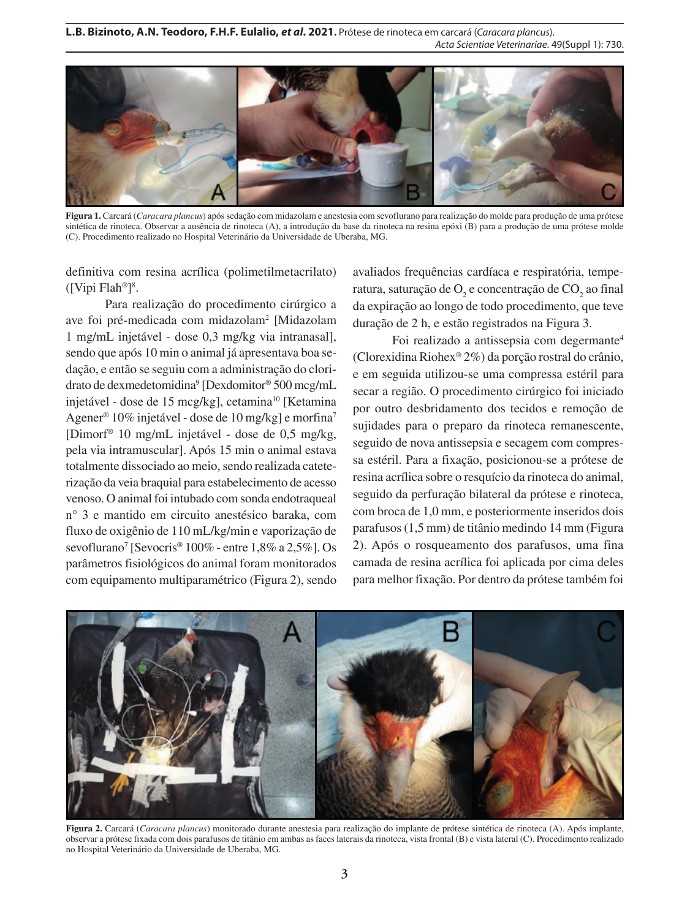

**Figura 1.** Carcará (*Caracara plancus*) após sedação com midazolam e anestesia com sevoflurano para realização do molde para produção de uma prótese sintética de rinoteca. Observar a ausência de rinoteca (A), a introdução da base da rinoteca na resina epóxi (B) para a produção de uma prótese molde (C). Procedimento realizado no Hospital Veterinário da Universidade de Uberaba, MG.

definitiva com resina acrílica (polimetilmetacrilato) ([Vipi Flah®] 8 .

Para realização do procedimento cirúrgico a ave foi pré-medicada com midazolam<sup>2</sup> [Midazolam 1 mg/mL injetável - dose 0,3 mg/kg via intranasal], sendo que após 10 min o animal já apresentava boa sedação, e então se seguiu com a administração do cloridrato de dexmedetomidina<sup>9</sup> [Dexdomitor® 500 mcg/mL injetável - dose de 15 mcg/kg], cetamina<sup>10</sup> [Ketamina Agener® 10% injetável - dose de 10 mg/kg] e morfina7 [Dimorf® 10 mg/mL injetável - dose de 0,5 mg/kg, pela via intramuscular]. Após 15 min o animal estava totalmente dissociado ao meio, sendo realizada cateterização da veia braquial para estabelecimento de acesso venoso. O animal foi intubado com sonda endotraqueal n° 3 e mantido em circuito anestésico baraka, com fluxo de oxigênio de 110 mL/kg/min e vaporização de sevoflurano<sup>7</sup> [Sevocris<sup>®</sup> 100% - entre 1,8% a 2,5%]. Os parâmetros fisiológicos do animal foram monitorados com equipamento multiparamétrico (Figura 2), sendo

avaliados frequências cardíaca e respiratória, temperatura, saturação de  $O_2$  e concentração de  $\mathrm{CO}_2$  ao final da expiração ao longo de todo procedimento, que teve duração de 2 h, e estão registrados na Figura 3.

Foi realizado a antissepsia com degermante<sup>4</sup> (Clorexidina Riohex® 2%) da porção rostral do crânio, e em seguida utilizou-se uma compressa estéril para secar a região. O procedimento cirúrgico foi iniciado por outro desbridamento dos tecidos e remoção de sujidades para o preparo da rinoteca remanescente, seguido de nova antissepsia e secagem com compressa estéril. Para a fixação, posicionou-se a prótese de resina acrílica sobre o resquício da rinoteca do animal, seguido da perfuração bilateral da prótese e rinoteca, com broca de 1,0 mm, e posteriormente inseridos dois parafusos (1,5 mm) de titânio medindo 14 mm (Figura 2). Após o rosqueamento dos parafusos, uma fina camada de resina acrílica foi aplicada por cima deles para melhor fixação. Por dentro da prótese também foi



**Figura 2.** Carcará (*Caracara plancus*) monitorado durante anestesia para realização do implante de prótese sintética de rinoteca (A). Após implante, observar a prótese fixada com dois parafusos de titânio em ambas as faces laterais da rinoteca, vista frontal (B) e vista lateral (C). Procedimento realizado no Hospital Veterinário da Universidade de Uberaba, MG.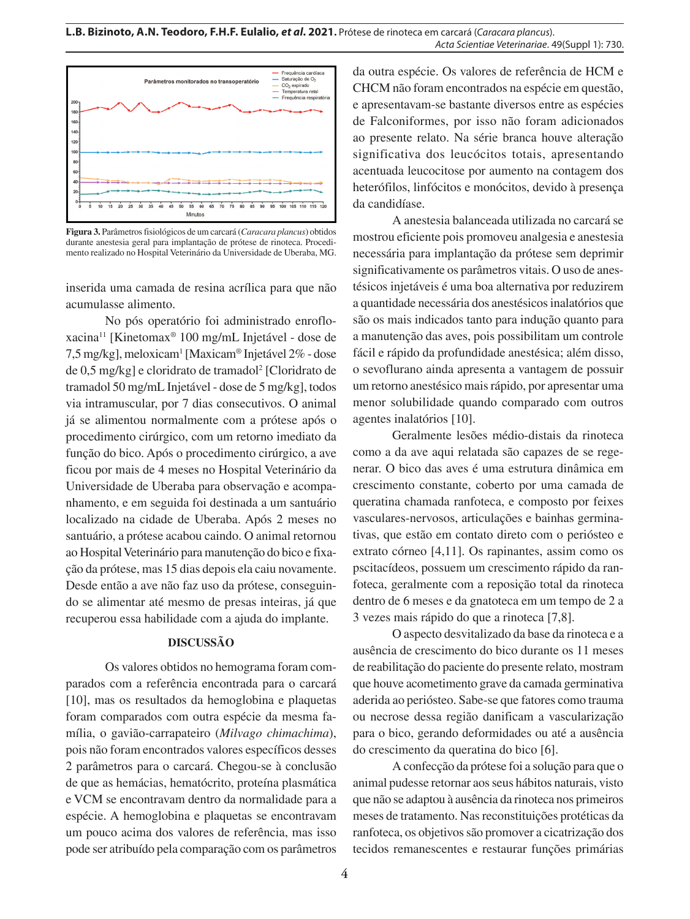

**Figura 3.** Parâmetros fisiológicos de um carcará (*Caracara plancus*) obtidos durante anestesia geral para implantação de prótese de rinoteca. Procedimento realizado no Hospital Veterinário da Universidade de Uberaba, MG.

inserida uma camada de resina acrílica para que não acumulasse alimento.

No pós operatório foi administrado enrofloxacina11 [Kinetomax® 100 mg/mL Injetável - dose de 7,5 mg/kg], meloxicam<sup>1</sup> [Maxicam® Injetável 2% - dose de 0,5 mg/kg] e cloridrato de tramadol<sup>2</sup> [Cloridrato de tramadol 50 mg/mL Injetável - dose de 5 mg/kg], todos via intramuscular, por 7 dias consecutivos. O animal já se alimentou normalmente com a prótese após o procedimento cirúrgico, com um retorno imediato da função do bico. Após o procedimento cirúrgico, a ave ficou por mais de 4 meses no Hospital Veterinário da Universidade de Uberaba para observação e acompanhamento, e em seguida foi destinada a um santuário localizado na cidade de Uberaba. Após 2 meses no santuário, a prótese acabou caindo. O animal retornou ao Hospital Veterinário para manutenção do bico e fixação da prótese, mas 15 dias depois ela caiu novamente. Desde então a ave não faz uso da prótese, conseguindo se alimentar até mesmo de presas inteiras, já que recuperou essa habilidade com a ajuda do implante.

#### **DISCUSSÃO**

Os valores obtidos no hemograma foram comparados com a referência encontrada para o carcará [10], mas os resultados da hemoglobina e plaquetas foram comparados com outra espécie da mesma família, o gavião-carrapateiro (*Milvago chimachima*), pois não foram encontrados valores específicos desses 2 parâmetros para o carcará. Chegou-se à conclusão de que as hemácias, hematócrito, proteína plasmática e VCM se encontravam dentro da normalidade para a espécie. A hemoglobina e plaquetas se encontravam um pouco acima dos valores de referência, mas isso pode ser atribuído pela comparação com os parâmetros

da outra espécie. Os valores de referência de HCM e CHCM não foram encontrados na espécie em questão, e apresentavam-se bastante diversos entre as espécies de Falconiformes, por isso não foram adicionados ao presente relato. Na série branca houve alteração significativa dos leucócitos totais, apresentando acentuada leucocitose por aumento na contagem dos heterófilos, linfócitos e monócitos, devido à presença da candidíase.

A anestesia balanceada utilizada no carcará se mostrou eficiente pois promoveu analgesia e anestesia necessária para implantação da prótese sem deprimir significativamente os parâmetros vitais. O uso de anestésicos injetáveis é uma boa alternativa por reduzirem a quantidade necessária dos anestésicos inalatórios que são os mais indicados tanto para indução quanto para a manutenção das aves, pois possibilitam um controle fácil e rápido da profundidade anestésica; além disso, o sevoflurano ainda apresenta a vantagem de possuir um retorno anestésico mais rápido, por apresentar uma menor solubilidade quando comparado com outros agentes inalatórios [10].

Geralmente lesões médio-distais da rinoteca como a da ave aqui relatada são capazes de se regenerar. O bico das aves é uma estrutura dinâmica em crescimento constante, coberto por uma camada de queratina chamada ranfoteca, e composto por feixes vasculares-nervosos, articulações e bainhas germinativas, que estão em contato direto com o periósteo e extrato córneo [4,11]. Os rapinantes, assim como os pscitacídeos, possuem um crescimento rápido da ranfoteca, geralmente com a reposição total da rinoteca dentro de 6 meses e da gnatoteca em um tempo de 2 a 3 vezes mais rápido do que a rinoteca [7,8].

O aspecto desvitalizado da base da rinoteca e a ausência de crescimento do bico durante os 11 meses de reabilitação do paciente do presente relato, mostram que houve acometimento grave da camada germinativa aderida ao periósteo. Sabe-se que fatores como trauma ou necrose dessa região danificam a vascularização para o bico, gerando deformidades ou até a ausência do crescimento da queratina do bico [6].

A confecção da prótese foi a solução para que o animal pudesse retornar aos seus hábitos naturais, visto que não se adaptou à ausência da rinoteca nos primeiros meses de tratamento. Nas reconstituições protéticas da ranfoteca, os objetivos são promover a cicatrização dos tecidos remanescentes e restaurar funções primárias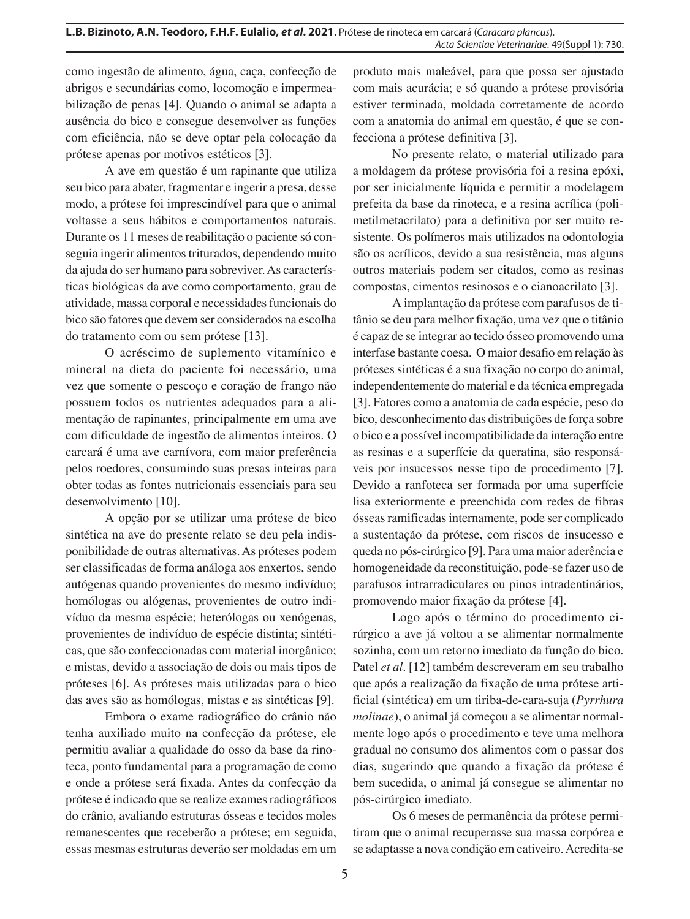como ingestão de alimento, água, caça, confecção de abrigos e secundárias como, locomoção e impermeabilização de penas [4]. Quando o animal se adapta a ausência do bico e consegue desenvolver as funções com eficiência, não se deve optar pela colocação da prótese apenas por motivos estéticos [3].

A ave em questão é um rapinante que utiliza seu bico para abater, fragmentar e ingerir a presa, desse modo, a prótese foi imprescindível para que o animal voltasse a seus hábitos e comportamentos naturais. Durante os 11 meses de reabilitação o paciente só conseguia ingerir alimentos triturados, dependendo muito da ajuda do ser humano para sobreviver. As características biológicas da ave como comportamento, grau de atividade, massa corporal e necessidades funcionais do bico são fatores que devem ser considerados na escolha do tratamento com ou sem prótese [13].

O acréscimo de suplemento vitamínico e mineral na dieta do paciente foi necessário, uma vez que somente o pescoço e coração de frango não possuem todos os nutrientes adequados para a alimentação de rapinantes, principalmente em uma ave com dificuldade de ingestão de alimentos inteiros. O carcará é uma ave carnívora, com maior preferência pelos roedores, consumindo suas presas inteiras para obter todas as fontes nutricionais essenciais para seu desenvolvimento [10].

A opção por se utilizar uma prótese de bico sintética na ave do presente relato se deu pela indisponibilidade de outras alternativas. As próteses podem ser classificadas de forma análoga aos enxertos, sendo autógenas quando provenientes do mesmo indivíduo; homólogas ou alógenas, provenientes de outro indivíduo da mesma espécie; heterólogas ou xenógenas, provenientes de indivíduo de espécie distinta; sintéticas, que são confeccionadas com material inorgânico; e mistas, devido a associação de dois ou mais tipos de próteses [6]. As próteses mais utilizadas para o bico das aves são as homólogas, mistas e as sintéticas [9].

Embora o exame radiográfico do crânio não tenha auxiliado muito na confecção da prótese, ele permitiu avaliar a qualidade do osso da base da rinoteca, ponto fundamental para a programação de como e onde a prótese será fixada. Antes da confecção da prótese é indicado que se realize exames radiográficos do crânio, avaliando estruturas ósseas e tecidos moles remanescentes que receberão a prótese; em seguida, essas mesmas estruturas deverão ser moldadas em um

produto mais maleável, para que possa ser ajustado com mais acurácia; e só quando a prótese provisória estiver terminada, moldada corretamente de acordo com a anatomia do animal em questão, é que se confecciona a prótese definitiva [3].

No presente relato, o material utilizado para a moldagem da prótese provisória foi a resina epóxi, por ser inicialmente líquida e permitir a modelagem prefeita da base da rinoteca, e a resina acrílica (polimetilmetacrilato) para a definitiva por ser muito resistente. Os polímeros mais utilizados na odontologia são os acrílicos, devido a sua resistência, mas alguns outros materiais podem ser citados, como as resinas compostas, cimentos resinosos e o cianoacrilato [3].

A implantação da prótese com parafusos de titânio se deu para melhor fixação, uma vez que o titânio é capaz de se integrar ao tecido ósseo promovendo uma interfase bastante coesa. O maior desafio em relação às próteses sintéticas é a sua fixação no corpo do animal, independentemente do material e da técnica empregada [3]. Fatores como a anatomia de cada espécie, peso do bico, desconhecimento das distribuições de força sobre o bico e a possível incompatibilidade da interação entre as resinas e a superfície da queratina, são responsáveis por insucessos nesse tipo de procedimento [7]. Devido a ranfoteca ser formada por uma superfície lisa exteriormente e preenchida com redes de fibras ósseas ramificadas internamente, pode ser complicado a sustentação da prótese, com riscos de insucesso e queda no pós-cirúrgico [9]. Para uma maior aderência e homogeneidade da reconstituição, pode-se fazer uso de parafusos intrarradiculares ou pinos intradentinários, promovendo maior fixação da prótese [4].

Logo após o término do procedimento cirúrgico a ave já voltou a se alimentar normalmente sozinha, com um retorno imediato da função do bico. Patel *et al*. [12] também descreveram em seu trabalho que após a realização da fixação de uma prótese artificial (sintética) em um tiriba-de-cara-suja (*Pyrrhura molinae*), o animal já começou a se alimentar normalmente logo após o procedimento e teve uma melhora gradual no consumo dos alimentos com o passar dos dias, sugerindo que quando a fixação da prótese é bem sucedida, o animal já consegue se alimentar no pós-cirúrgico imediato.

Os 6 meses de permanência da prótese permitiram que o animal recuperasse sua massa corpórea e se adaptasse a nova condição em cativeiro. Acredita-se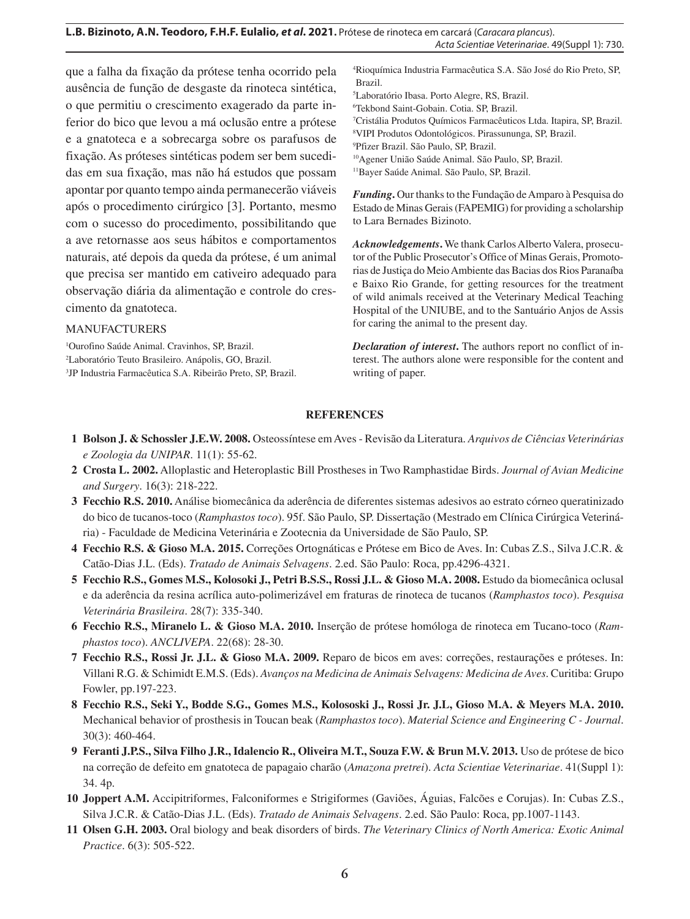que a falha da fixação da prótese tenha ocorrido pela ausência de função de desgaste da rinoteca sintética, o que permitiu o crescimento exagerado da parte inferior do bico que levou a má oclusão entre a prótese e a gnatoteca e a sobrecarga sobre os parafusos de fixação. As próteses sintéticas podem ser bem sucedidas em sua fixação, mas não há estudos que possam apontar por quanto tempo ainda permanecerão viáveis após o procedimento cirúrgico [3]. Portanto, mesmo com o sucesso do procedimento, possibilitando que a ave retornasse aos seus hábitos e comportamentos naturais, até depois da queda da prótese, é um animal que precisa ser mantido em cativeiro adequado para observação diária da alimentação e controle do crescimento da gnatoteca.

### MANUFACTURERS

1 Ourofino Saúde Animal. Cravinhos, SP, Brazil. 2 Laboratório Teuto Brasileiro. Anápolis, GO, Brazil. 3 JP Industria Farmacêutica S.A. Ribeirão Preto, SP, Brazil. 4 Rioquímica Industria Farmacêutica S.A. São José do Rio Preto, SP, Brazil.

5 Laboratório Ibasa. Porto Alegre, RS, Brazil.

6 Tekbond Saint-Gobain. Cotia. SP, Brazil.

7 Cristália Produtos Químicos Farmacêuticos Ltda. Itapira, SP, Brazil.

8 VIPI Produtos Odontológicos. Pirassununga, SP, Brazil.

9 Pfizer Brazil. São Paulo, SP, Brazil.

10Agener União Saúde Animal. São Paulo, SP, Brazil.

11Bayer Saúde Animal. São Paulo, SP, Brazil.

*Funding***.** Our thanks to the Fundação de Amparo à Pesquisa do Estado de Minas Gerais (FAPEMIG) for providing a scholarship to Lara Bernades Bizinoto.

*Acknowledgements***.** We thank Carlos Alberto Valera, prosecutor of the Public Prosecutor's Office of Minas Gerais, Promotorias de Justiça do Meio Ambiente das Bacias dos Rios Paranaíba e Baixo Rio Grande, for getting resources for the treatment of wild animals received at the Veterinary Medical Teaching Hospital of the UNIUBE, and to the Santuário Anjos de Assis for caring the animal to the present day.

*Declaration of interest***.** The authors report no conflict of interest. The authors alone were responsible for the content and writing of paper.

### **REFERENCES**

- **1 Bolson J. & Schossler J.E.W. 2008.** Osteossíntese em Aves Revisão da Literatura. *Arquivos de Ciências Veterinárias e Zoologia da UNIPAR*. 11(1): 55-62.
- **2 Crosta L. 2002.** Alloplastic and Heteroplastic Bill Prostheses in Two Ramphastidae Birds. *Journal of Avian Medicine and Surgery*. 16(3): 218-222.
- **3 Fecchio R.S. 2010.** Análise biomecânica da aderência de diferentes sistemas adesivos ao estrato córneo queratinizado do bico de tucanos-toco (*Ramphastos toco*). 95f. São Paulo, SP. Dissertação (Mestrado em Clínica Cirúrgica Veterinária) - Faculdade de Medicina Veterinária e Zootecnia da Universidade de São Paulo, SP.
- **4 Fecchio R.S. & Gioso M.A. 2015.** Correções Ortognáticas e Prótese em Bico de Aves. In: Cubas Z.S., Silva J.C.R. & Catão-Dias J.L. (Eds). *Tratado de Animais Selvagens*. 2.ed. São Paulo: Roca, pp.4296-4321.
- **5 Fecchio R.S., Gomes M.S., Kolosoki J., Petri B.S.S., Rossi J.L. & Gioso M.A. 2008.** Estudo da biomecânica oclusal e da aderência da resina acrílica auto-polimerizável em fraturas de rinoteca de tucanos (*Ramphastos toco*). *Pesquisa Veterinária Brasileira*. 28(7): 335-340.
- **6 Fecchio R.S., Miranelo L. & Gioso M.A. 2010.** Inserção de prótese homóloga de rinoteca em Tucano-toco (*Ramphastos toco*). *ANCLIVEPA*. 22(68): 28-30.
- **7 Fecchio R.S., Rossi Jr. J.L. & Gioso M.A. 2009.** Reparo de bicos em aves: correções, restaurações e próteses. In: Villani R.G. & Schimidt E.M.S. (Eds). *Avanços na Medicina de Animais Selvagens: Medicina de Aves*. Curitiba: Grupo Fowler, pp.197-223.
- **8 Fecchio R.S., Seki Y., Bodde S.G., Gomes M.S., Kolososki J., Rossi Jr. J.L, Gioso M.A. & Meyers M.A. 2010.** Mechanical behavior of prosthesis in Toucan beak (*Ramphastos toco*). *Material Science and Engineering C - Journal*. 30(3): 460-464.
- **9 Feranti J.P.S., Silva Filho J.R., Idalencio R., Oliveira M.T., Souza F.W. & Brun M.V. 2013.** Uso de prótese de bico na correção de defeito em gnatoteca de papagaio charão (*Amazona pretrei*). *Acta Scientiae Veterinariae*. 41(Suppl 1): 34. 4p.
- **10 Joppert A.M.** Accipitriformes, Falconiformes e Strigiformes (Gaviões, Águias, Falcões e Corujas). In: Cubas Z.S., Silva J.C.R. & Catão-Dias J.L. (Eds). *Tratado de Animais Selvagens*. 2.ed. São Paulo: Roca, pp.1007-1143.
- **11 Olsen G.H. 2003.** Oral biology and beak disorders of birds. *The Veterinary Clinics of North America: Exotic Animal Practice*. 6(3): 505-522.